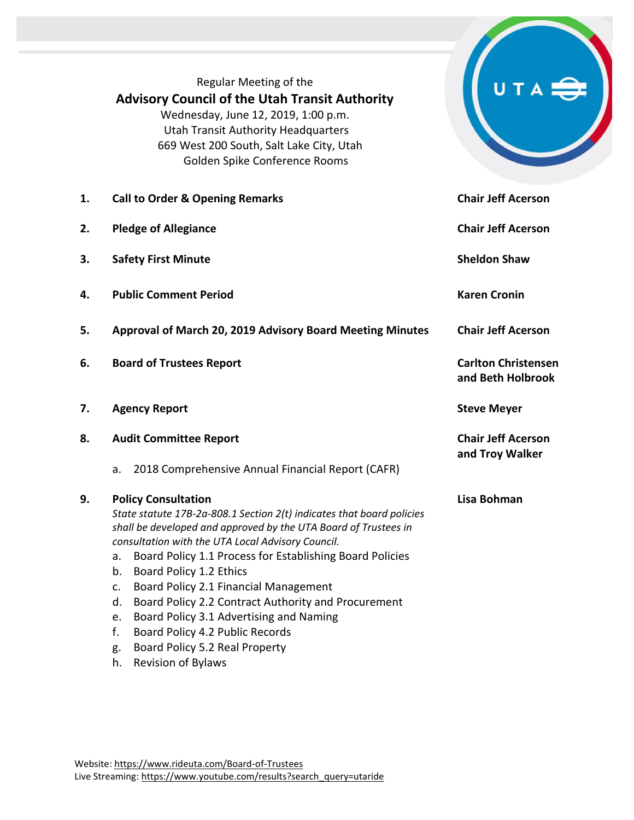Regular Meeting of the **Advisory Council of the Utah Transit Authority** Wednesday, June 12, 2019, 1:00 p.m. Utah Transit Authority Headquarters 669 West 200 South, Salt Lake City, Utah Golden Spike Conference Rooms

| 1. | <b>Call to Order &amp; Opening Remarks</b>                                                                                                                                                                                                                                                                                                                                                                                                                                                                                           | <b>Chair Jeff Acerson</b>                       |
|----|--------------------------------------------------------------------------------------------------------------------------------------------------------------------------------------------------------------------------------------------------------------------------------------------------------------------------------------------------------------------------------------------------------------------------------------------------------------------------------------------------------------------------------------|-------------------------------------------------|
| 2. | <b>Pledge of Allegiance</b>                                                                                                                                                                                                                                                                                                                                                                                                                                                                                                          | <b>Chair Jeff Acerson</b>                       |
| 3. | <b>Safety First Minute</b>                                                                                                                                                                                                                                                                                                                                                                                                                                                                                                           | <b>Sheldon Shaw</b>                             |
| 4. | <b>Public Comment Period</b>                                                                                                                                                                                                                                                                                                                                                                                                                                                                                                         | <b>Karen Cronin</b>                             |
| 5. | Approval of March 20, 2019 Advisory Board Meeting Minutes                                                                                                                                                                                                                                                                                                                                                                                                                                                                            | <b>Chair Jeff Acerson</b>                       |
| 6. | <b>Board of Trustees Report</b>                                                                                                                                                                                                                                                                                                                                                                                                                                                                                                      | <b>Carlton Christensen</b><br>and Beth Holbrook |
| 7. | <b>Agency Report</b>                                                                                                                                                                                                                                                                                                                                                                                                                                                                                                                 | <b>Steve Meyer</b>                              |
| 8. | <b>Audit Committee Report</b>                                                                                                                                                                                                                                                                                                                                                                                                                                                                                                        | <b>Chair Jeff Acerson</b><br>and Troy Walker    |
|    | 2018 Comprehensive Annual Financial Report (CAFR)<br>a.                                                                                                                                                                                                                                                                                                                                                                                                                                                                              |                                                 |
| 9. | <b>Policy Consultation</b><br>State statute 17B-2a-808.1 Section 2(t) indicates that board policies<br>shall be developed and approved by the UTA Board of Trustees in<br>consultation with the UTA Local Advisory Council.<br>Board Policy 1.1 Process for Establishing Board Policies<br>a.<br>Board Policy 1.2 Ethics<br>b.<br>Board Policy 2.1 Financial Management<br>c.<br>Board Policy 2.2 Contract Authority and Procurement<br>d.<br>Board Policy 3.1 Advertising and Naming<br>e.<br>f.<br>Board Policy 4.2 Public Records | Lisa Bohman                                     |
|    | Board Policy 5.2 Real Property<br>g.                                                                                                                                                                                                                                                                                                                                                                                                                                                                                                 |                                                 |

UTA

h. Revision of Bylaws